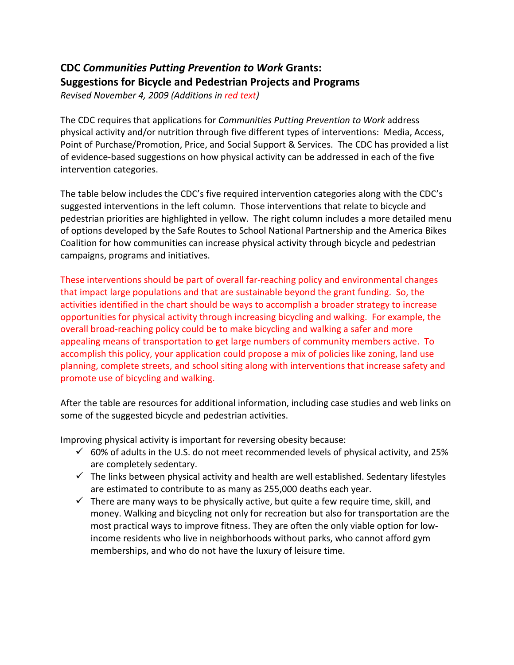## **CDC** *Communities Putting Prevention to Work* **Grants: Suggestions for Bicycle and Pedestrian Projects and Programs**

*Revised November 4, 2009 (Additions in red text)*

The CDC requires that applications for *Communities Putting Prevention to Work* address physical activity and/or nutrition through five different types of interventions: Media, Access, Point of Purchase/Promotion, Price, and Social Support & Services. The CDC has provided a list of evidence-based suggestions on how physical activity can be addressed in each of the five intervention categories.

The table below includes the CDC's five required intervention categories along with the CDC's suggested interventions in the left column. Those interventions that relate to bicycle and pedestrian priorities are highlighted in yellow. The right column includes a more detailed menu of options developed by the Safe Routes to School National Partnership and the America Bikes Coalition for how communities can increase physical activity through bicycle and pedestrian campaigns, programs and initiatives.

These interventions should be part of overall far-reaching policy and environmental changes that impact large populations and that are sustainable beyond the grant funding. So, the activities identified in the chart should be ways to accomplish a broader strategy to increase opportunities for physical activity through increasing bicycling and walking. For example, the overall broad-reaching policy could be to make bicycling and walking a safer and more appealing means of transportation to get large numbers of community members active. To accomplish this policy, your application could propose a mix of policies like zoning, land use planning, complete streets, and school siting along with interventions that increase safety and promote use of bicycling and walking.

After the table are resources for additional information, including case studies and web links on some of the suggested bicycle and pedestrian activities.

Improving physical activity is important for reversing obesity because:

- $\checkmark$  60% of adults in the U.S. do not meet recommended levels of physical activity, and 25% are completely sedentary.
- $\checkmark$  The links between physical activity and health are well established. Sedentary lifestyles are estimated to contribute to as many as 255,000 deaths each year.
- $\checkmark$  There are many ways to be physically active, but quite a few require time, skill, and money. Walking and bicycling not only for recreation but also for transportation are the most practical ways to improve fitness. They are often the only viable option for lowincome residents who live in neighborhoods without parks, who cannot afford gym memberships, and who do not have the luxury of leisure time.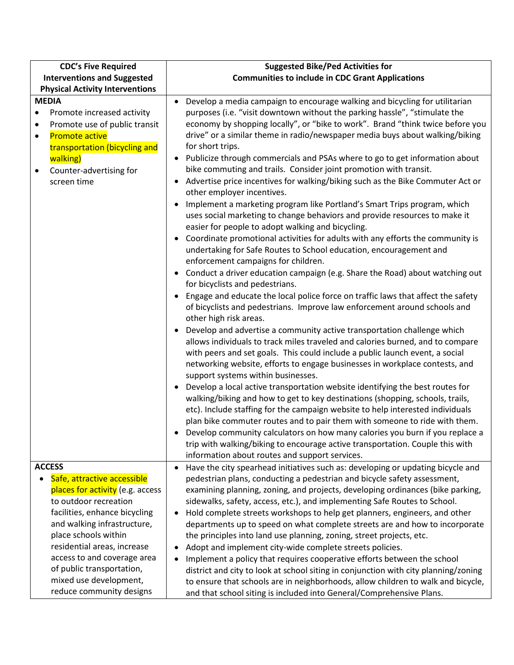| <b>CDC's Five Required</b>                                                                                                                                                                                                                                                                                                                         | <b>Suggested Bike/Ped Activities for</b>                                                                                                                                                                                                                                                                                                                                                                                                                                                                                                                                                                                                                                                                                                                                                                                                                                                                                                                                                                                                                                                                                                                                                                                                                                                                                                                                                                                                                                                                                                                                                                                                                                                                                                                                                                                                                                                                                                                                                                                                                                                                                                                                                                             |
|----------------------------------------------------------------------------------------------------------------------------------------------------------------------------------------------------------------------------------------------------------------------------------------------------------------------------------------------------|----------------------------------------------------------------------------------------------------------------------------------------------------------------------------------------------------------------------------------------------------------------------------------------------------------------------------------------------------------------------------------------------------------------------------------------------------------------------------------------------------------------------------------------------------------------------------------------------------------------------------------------------------------------------------------------------------------------------------------------------------------------------------------------------------------------------------------------------------------------------------------------------------------------------------------------------------------------------------------------------------------------------------------------------------------------------------------------------------------------------------------------------------------------------------------------------------------------------------------------------------------------------------------------------------------------------------------------------------------------------------------------------------------------------------------------------------------------------------------------------------------------------------------------------------------------------------------------------------------------------------------------------------------------------------------------------------------------------------------------------------------------------------------------------------------------------------------------------------------------------------------------------------------------------------------------------------------------------------------------------------------------------------------------------------------------------------------------------------------------------------------------------------------------------------------------------------------------------|
| <b>Interventions and Suggested</b>                                                                                                                                                                                                                                                                                                                 | <b>Communities to include in CDC Grant Applications</b>                                                                                                                                                                                                                                                                                                                                                                                                                                                                                                                                                                                                                                                                                                                                                                                                                                                                                                                                                                                                                                                                                                                                                                                                                                                                                                                                                                                                                                                                                                                                                                                                                                                                                                                                                                                                                                                                                                                                                                                                                                                                                                                                                              |
| <b>Physical Activity Interventions</b>                                                                                                                                                                                                                                                                                                             |                                                                                                                                                                                                                                                                                                                                                                                                                                                                                                                                                                                                                                                                                                                                                                                                                                                                                                                                                                                                                                                                                                                                                                                                                                                                                                                                                                                                                                                                                                                                                                                                                                                                                                                                                                                                                                                                                                                                                                                                                                                                                                                                                                                                                      |
| <b>MEDIA</b><br>Promote increased activity<br>٠<br>Promote use of public transit<br>٠<br><b>Promote active</b><br>$\bullet$<br>transportation (bicycling and<br>walking)<br>Counter-advertising for<br>٠<br>screen time                                                                                                                            | Develop a media campaign to encourage walking and bicycling for utilitarian<br>purposes (i.e. "visit downtown without the parking hassle", "stimulate the<br>economy by shopping locally", or "bike to work". Brand "think twice before you<br>drive" or a similar theme in radio/newspaper media buys about walking/biking<br>for short trips.<br>Publicize through commercials and PSAs where to go to get information about<br>bike commuting and trails. Consider joint promotion with transit.<br>Advertise price incentives for walking/biking such as the Bike Commuter Act or<br>other employer incentives.<br>Implement a marketing program like Portland's Smart Trips program, which<br>uses social marketing to change behaviors and provide resources to make it<br>easier for people to adopt walking and bicycling.<br>Coordinate promotional activities for adults with any efforts the community is<br>undertaking for Safe Routes to School education, encouragement and<br>enforcement campaigns for children.<br>Conduct a driver education campaign (e.g. Share the Road) about watching out<br>for bicyclists and pedestrians.<br>Engage and educate the local police force on traffic laws that affect the safety<br>of bicyclists and pedestrians. Improve law enforcement around schools and<br>other high risk areas.<br>Develop and advertise a community active transportation challenge which<br>allows individuals to track miles traveled and calories burned, and to compare<br>with peers and set goals. This could include a public launch event, a social<br>networking website, efforts to engage businesses in workplace contests, and<br>support systems within businesses.<br>Develop a local active transportation website identifying the best routes for<br>walking/biking and how to get to key destinations (shopping, schools, trails,<br>etc). Include staffing for the campaign website to help interested individuals<br>plan bike commuter routes and to pair them with someone to ride with them.<br>Develop community calculators on how many calories you burn if you replace a<br>trip with walking/biking to encourage active transportation. Couple this with |
|                                                                                                                                                                                                                                                                                                                                                    | information about routes and support services.                                                                                                                                                                                                                                                                                                                                                                                                                                                                                                                                                                                                                                                                                                                                                                                                                                                                                                                                                                                                                                                                                                                                                                                                                                                                                                                                                                                                                                                                                                                                                                                                                                                                                                                                                                                                                                                                                                                                                                                                                                                                                                                                                                       |
| <b>ACCESS</b><br>Safe, attractive accessible<br>places for activity (e.g. access<br>to outdoor recreation<br>facilities, enhance bicycling<br>and walking infrastructure,<br>place schools within<br>residential areas, increase<br>access to and coverage area<br>of public transportation,<br>mixed use development,<br>reduce community designs | Have the city spearhead initiatives such as: developing or updating bicycle and<br>pedestrian plans, conducting a pedestrian and bicycle safety assessment,<br>examining planning, zoning, and projects, developing ordinances (bike parking,<br>sidewalks, safety, access, etc.), and implementing Safe Routes to School.<br>Hold complete streets workshops to help get planners, engineers, and other<br>departments up to speed on what complete streets are and how to incorporate<br>the principles into land use planning, zoning, street projects, etc.<br>Adopt and implement city-wide complete streets policies.<br>Implement a policy that requires cooperative efforts between the school<br>district and city to look at school siting in conjunction with city planning/zoning<br>to ensure that schools are in neighborhoods, allow children to walk and bicycle,<br>and that school siting is included into General/Comprehensive Plans.                                                                                                                                                                                                                                                                                                                                                                                                                                                                                                                                                                                                                                                                                                                                                                                                                                                                                                                                                                                                                                                                                                                                                                                                                                                            |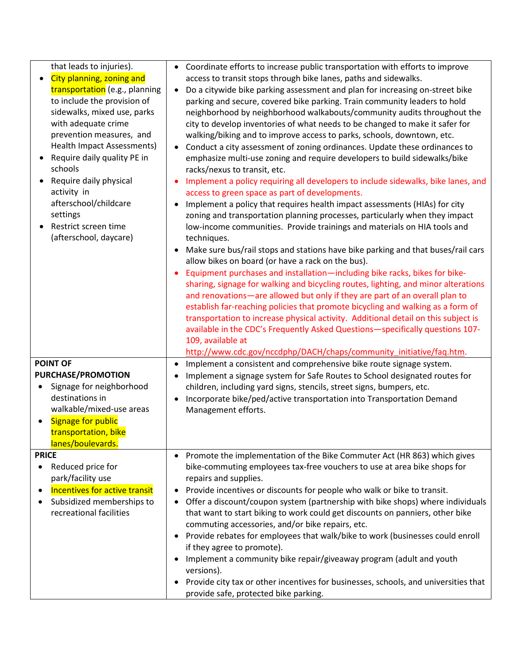| that leads to injuries).<br>City planning, zoning and<br>transportation (e.g., planning<br>to include the provision of<br>sidewalks, mixed use, parks<br>with adequate crime<br>prevention measures, and<br><b>Health Impact Assessments)</b><br>Require daily quality PE in<br>schools<br>Require daily physical<br>activity in<br>afterschool/childcare<br>settings<br>Restrict screen time<br>(afterschool, daycare) | Coordinate efforts to increase public transportation with efforts to improve<br>$\bullet$<br>access to transit stops through bike lanes, paths and sidewalks.<br>Do a citywide bike parking assessment and plan for increasing on-street bike<br>$\bullet$<br>parking and secure, covered bike parking. Train community leaders to hold<br>neighborhood by neighborhood walkabouts/community audits throughout the<br>city to develop inventories of what needs to be changed to make it safer for<br>walking/biking and to improve access to parks, schools, downtown, etc.<br>Conduct a city assessment of zoning ordinances. Update these ordinances to<br>emphasize multi-use zoning and require developers to build sidewalks/bike<br>racks/nexus to transit, etc.<br>Implement a policy requiring all developers to include sidewalks, bike lanes, and<br>access to green space as part of developments.<br>Implement a policy that requires health impact assessments (HIAs) for city<br>zoning and transportation planning processes, particularly when they impact<br>low-income communities. Provide trainings and materials on HIA tools and<br>techniques.<br>Make sure bus/rail stops and stations have bike parking and that buses/rail cars<br>$\bullet$<br>allow bikes on board (or have a rack on the bus).<br>Equipment purchases and installation-including bike racks, bikes for bike-<br>sharing, signage for walking and bicycling routes, lighting, and minor alterations<br>and renovations-are allowed but only if they are part of an overall plan to<br>establish far-reaching policies that promote bicycling and walking as a form of<br>transportation to increase physical activity. Additional detail on this subject is<br>available in the CDC's Frequently Asked Questions-specifically questions 107-<br>109, available at<br>http://www.cdc.gov/nccdphp/DACH/chaps/community_initiative/faq.htm. |
|-------------------------------------------------------------------------------------------------------------------------------------------------------------------------------------------------------------------------------------------------------------------------------------------------------------------------------------------------------------------------------------------------------------------------|---------------------------------------------------------------------------------------------------------------------------------------------------------------------------------------------------------------------------------------------------------------------------------------------------------------------------------------------------------------------------------------------------------------------------------------------------------------------------------------------------------------------------------------------------------------------------------------------------------------------------------------------------------------------------------------------------------------------------------------------------------------------------------------------------------------------------------------------------------------------------------------------------------------------------------------------------------------------------------------------------------------------------------------------------------------------------------------------------------------------------------------------------------------------------------------------------------------------------------------------------------------------------------------------------------------------------------------------------------------------------------------------------------------------------------------------------------------------------------------------------------------------------------------------------------------------------------------------------------------------------------------------------------------------------------------------------------------------------------------------------------------------------------------------------------------------------------------------------------------------------------------------------------------------------------------|
| <b>POINT OF</b><br>PURCHASE/PROMOTION<br>Signage for neighborhood<br>$\bullet$<br>destinations in<br>walkable/mixed-use areas<br><b>Signage for public</b><br>transportation, bike<br>lanes/boulevards.                                                                                                                                                                                                                 | Implement a consistent and comprehensive bike route signage system.<br>$\bullet$<br>Implement a signage system for Safe Routes to School designated routes for<br>$\bullet$<br>children, including yard signs, stencils, street signs, bumpers, etc.<br>Incorporate bike/ped/active transportation into Transportation Demand<br>$\bullet$<br>Management efforts.                                                                                                                                                                                                                                                                                                                                                                                                                                                                                                                                                                                                                                                                                                                                                                                                                                                                                                                                                                                                                                                                                                                                                                                                                                                                                                                                                                                                                                                                                                                                                                     |
| <b>PRICE</b><br>Reduced price for<br>$\bullet$<br>park/facility use<br><b>Incentives for active transit</b><br>Subsidized memberships to<br>recreational facilities                                                                                                                                                                                                                                                     | Promote the implementation of the Bike Commuter Act (HR 863) which gives<br>bike-commuting employees tax-free vouchers to use at area bike shops for<br>repairs and supplies.<br>Provide incentives or discounts for people who walk or bike to transit.<br>$\bullet$<br>Offer a discount/coupon system (partnership with bike shops) where individuals<br>$\bullet$<br>that want to start biking to work could get discounts on panniers, other bike<br>commuting accessories, and/or bike repairs, etc.<br>Provide rebates for employees that walk/bike to work (businesses could enroll<br>$\bullet$<br>if they agree to promote).<br>Implement a community bike repair/giveaway program (adult and youth<br>٠<br>versions).<br>Provide city tax or other incentives for businesses, schools, and universities that<br>$\bullet$<br>provide safe, protected bike parking.                                                                                                                                                                                                                                                                                                                                                                                                                                                                                                                                                                                                                                                                                                                                                                                                                                                                                                                                                                                                                                                          |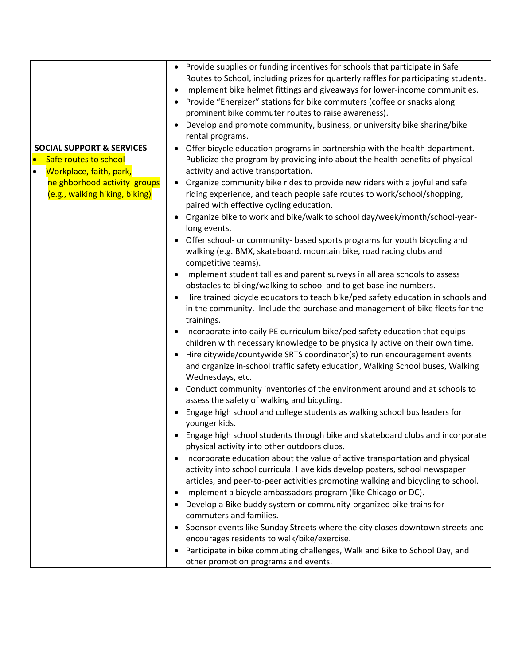|                                      | Provide supplies or funding incentives for schools that participate in Safe<br>Routes to School, including prizes for quarterly raffles for participating students.<br>Implement bike helmet fittings and giveaways for lower-income communities.<br>Provide "Energizer" stations for bike commuters (coffee or snacks along<br>prominent bike commuter routes to raise awareness).<br>Develop and promote community, business, or university bike sharing/bike |
|--------------------------------------|-----------------------------------------------------------------------------------------------------------------------------------------------------------------------------------------------------------------------------------------------------------------------------------------------------------------------------------------------------------------------------------------------------------------------------------------------------------------|
| <b>SOCIAL SUPPORT &amp; SERVICES</b> | rental programs.<br>• Offer bicycle education programs in partnership with the health department.                                                                                                                                                                                                                                                                                                                                                               |
| $\bullet$<br>Safe routes to school   | Publicize the program by providing info about the health benefits of physical                                                                                                                                                                                                                                                                                                                                                                                   |
| Workplace, faith, park,<br>$\bullet$ | activity and active transportation.                                                                                                                                                                                                                                                                                                                                                                                                                             |
| neighborhood activity groups         | Organize community bike rides to provide new riders with a joyful and safe                                                                                                                                                                                                                                                                                                                                                                                      |
| (e.g., walking hiking, biking)       | riding experience, and teach people safe routes to work/school/shopping,                                                                                                                                                                                                                                                                                                                                                                                        |
|                                      | paired with effective cycling education.                                                                                                                                                                                                                                                                                                                                                                                                                        |
|                                      | Organize bike to work and bike/walk to school day/week/month/school-year-<br>long events.                                                                                                                                                                                                                                                                                                                                                                       |
|                                      | Offer school- or community- based sports programs for youth bicycling and                                                                                                                                                                                                                                                                                                                                                                                       |
|                                      | walking (e.g. BMX, skateboard, mountain bike, road racing clubs and                                                                                                                                                                                                                                                                                                                                                                                             |
|                                      | competitive teams).                                                                                                                                                                                                                                                                                                                                                                                                                                             |
|                                      | Implement student tallies and parent surveys in all area schools to assess                                                                                                                                                                                                                                                                                                                                                                                      |
|                                      | obstacles to biking/walking to school and to get baseline numbers.                                                                                                                                                                                                                                                                                                                                                                                              |
|                                      | Hire trained bicycle educators to teach bike/ped safety education in schools and<br>in the community. Include the purchase and management of bike fleets for the<br>trainings.                                                                                                                                                                                                                                                                                  |
|                                      | Incorporate into daily PE curriculum bike/ped safety education that equips                                                                                                                                                                                                                                                                                                                                                                                      |
|                                      | children with necessary knowledge to be physically active on their own time.                                                                                                                                                                                                                                                                                                                                                                                    |
|                                      | Hire citywide/countywide SRTS coordinator(s) to run encouragement events                                                                                                                                                                                                                                                                                                                                                                                        |
|                                      | and organize in-school traffic safety education, Walking School buses, Walking                                                                                                                                                                                                                                                                                                                                                                                  |
|                                      | Wednesdays, etc.                                                                                                                                                                                                                                                                                                                                                                                                                                                |
|                                      | Conduct community inventories of the environment around and at schools to                                                                                                                                                                                                                                                                                                                                                                                       |
|                                      | assess the safety of walking and bicycling.                                                                                                                                                                                                                                                                                                                                                                                                                     |
|                                      | Engage high school and college students as walking school bus leaders for<br>younger kids.                                                                                                                                                                                                                                                                                                                                                                      |
|                                      | • Engage high school students through bike and skateboard clubs and incorporate                                                                                                                                                                                                                                                                                                                                                                                 |
|                                      | physical activity into other outdoors clubs.                                                                                                                                                                                                                                                                                                                                                                                                                    |
|                                      | Incorporate education about the value of active transportation and physical                                                                                                                                                                                                                                                                                                                                                                                     |
|                                      | activity into school curricula. Have kids develop posters, school newspaper                                                                                                                                                                                                                                                                                                                                                                                     |
|                                      | articles, and peer-to-peer activities promoting walking and bicycling to school.                                                                                                                                                                                                                                                                                                                                                                                |
|                                      | Implement a bicycle ambassadors program (like Chicago or DC).                                                                                                                                                                                                                                                                                                                                                                                                   |
|                                      | Develop a Bike buddy system or community-organized bike trains for<br>commuters and families.                                                                                                                                                                                                                                                                                                                                                                   |
|                                      | Sponsor events like Sunday Streets where the city closes downtown streets and                                                                                                                                                                                                                                                                                                                                                                                   |
|                                      | encourages residents to walk/bike/exercise.                                                                                                                                                                                                                                                                                                                                                                                                                     |
|                                      | Participate in bike commuting challenges, Walk and Bike to School Day, and                                                                                                                                                                                                                                                                                                                                                                                      |
|                                      | other promotion programs and events.                                                                                                                                                                                                                                                                                                                                                                                                                            |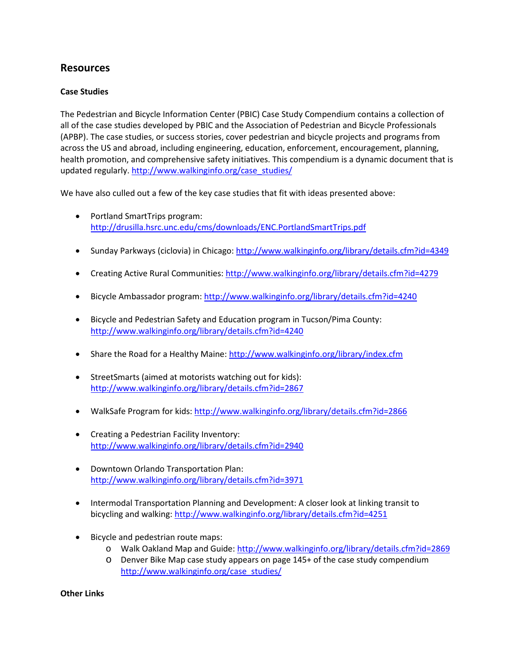## **Resources**

## **Case Studies**

The Pedestrian and Bicycle Information Center (PBIC) Case Study Compendium contains a collection of all of the case studies developed by PBIC and the Association of Pedestrian and Bicycle Professionals (APBP). The case studies, or success stories, cover pedestrian and bicycle projects and programs from across the US and abroad, including engineering, education, enforcement, encouragement, planning, health promotion, and comprehensive safety initiatives. This compendium is a dynamic document that is updated regularly[. http://www.walkinginfo.org/case\\_studies/](http://www.walkinginfo.org/case_studies/)

We have also culled out a few of the key case studies that fit with ideas presented above:

- Portland SmartTrips program: <http://drusilla.hsrc.unc.edu/cms/downloads/ENC.PortlandSmartTrips.pdf>
- Sunday Parkways (ciclovia) in Chicago:<http://www.walkinginfo.org/library/details.cfm?id=4349>
- Creating Active Rural Communities:<http://www.walkinginfo.org/library/details.cfm?id=4279>
- Bicycle Ambassador program:<http://www.walkinginfo.org/library/details.cfm?id=4240>
- Bicycle and Pedestrian Safety and Education program in Tucson/Pima County: <http://www.walkinginfo.org/library/details.cfm?id=4240>
- Share the Road for a Healthy Maine:<http://www.walkinginfo.org/library/index.cfm>
- StreetSmarts (aimed at motorists watching out for kids): <http://www.walkinginfo.org/library/details.cfm?id=2867>
- WalkSafe Program for kids[: http://www.walkinginfo.org/library/details.cfm?id=2866](http://www.walkinginfo.org/library/details.cfm?id=2866)
- Creating a Pedestrian Facility Inventory: <http://www.walkinginfo.org/library/details.cfm?id=2940>
- Downtown Orlando Transportation Plan: <http://www.walkinginfo.org/library/details.cfm?id=3971>
- Intermodal Transportation Planning and Development: A closer look at linking transit to bicycling and walking:<http://www.walkinginfo.org/library/details.cfm?id=4251>
- Bicycle and pedestrian route maps:
	- o Walk Oakland Map and Guide[: http://www.walkinginfo.org/library/details.cfm?id=2869](http://www.walkinginfo.org/library/details.cfm?id=2869)
	- o Denver Bike Map case study appears on page 145+ of the case study compendium [http://www.walkinginfo.org/case\\_studies/](http://www.walkinginfo.org/case_studies/)

**Other Links**